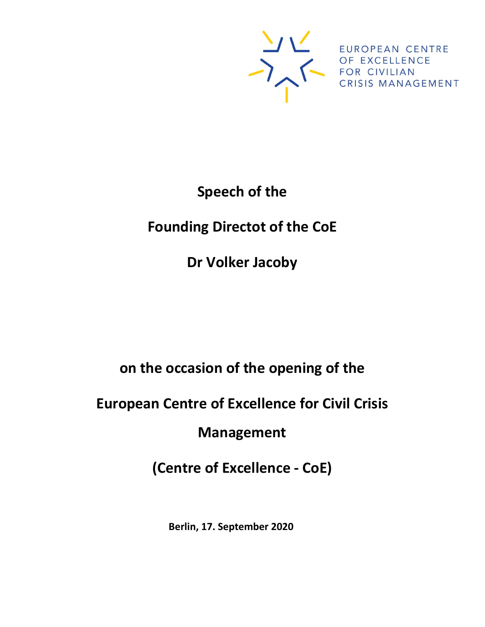

# **Speech of the**

## **Founding Directot of the CoE**

**Dr Volker Jacoby**

### **on the occasion of the opening of the**

### **European Centre of Excellence for Civil Crisis**

#### **Management**

### **(Centre of Excellence - CoE)**

**Berlin, 17. September 2020**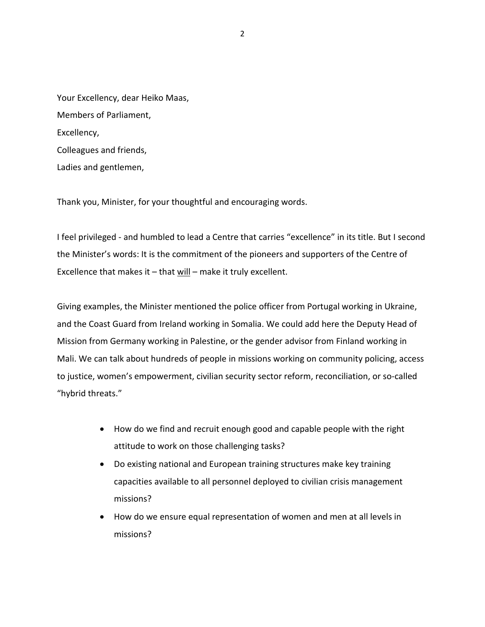| Your Excellency, dear Heiko Maas, |
|-----------------------------------|
| Members of Parliament,            |
| Excellency,                       |
| Colleagues and friends,           |
| Ladies and gentlemen,             |

Thank you, Minister, for your thoughtful and encouraging words.

I feel privileged - and humbled to lead a Centre that carries "excellence" in its title. But I second the Minister's words: It is the commitment of the pioneers and supporters of the Centre of Excellence that makes it  $-$  that will  $-$  make it truly excellent.

Giving examples, the Minister mentioned the police officer from Portugal working in Ukraine, and the Coast Guard from Ireland working in Somalia. We could add here the Deputy Head of Mission from Germany working in Palestine, or the gender advisor from Finland working in Mali. We can talk about hundreds of people in missions working on community policing, access to justice, women's empowerment, civilian security sector reform, reconciliation, or so-called "hybrid threats."

- How do we find and recruit enough good and capable people with the right attitude to work on those challenging tasks?
- Do existing national and European training structures make key training capacities available to all personnel deployed to civilian crisis management missions?
- How do we ensure equal representation of women and men at all levels in missions?

2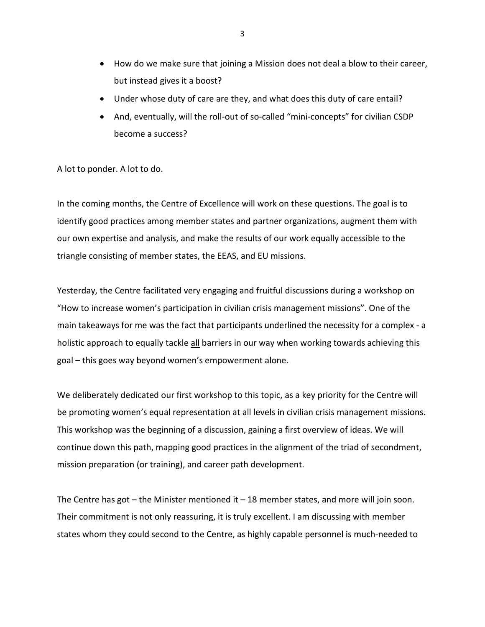- How do we make sure that joining a Mission does not deal a blow to their career, but instead gives it a boost?
- Under whose duty of care are they, and what does this duty of care entail?
- And, eventually, will the roll-out of so-called "mini-concepts" for civilian CSDP become a success?

A lot to ponder. A lot to do.

In the coming months, the Centre of Excellence will work on these questions. The goal is to identify good practices among member states and partner organizations, augment them with our own expertise and analysis, and make the results of our work equally accessible to the triangle consisting of member states, the EEAS, and EU missions.

Yesterday, the Centre facilitated very engaging and fruitful discussions during a workshop on "How to increase women's participation in civilian crisis management missions". One of the main takeaways for me was the fact that participants underlined the necessity for a complex - a holistic approach to equally tackle all barriers in our way when working towards achieving this goal – this goes way beyond women's empowerment alone.

We deliberately dedicated our first workshop to this topic, as a key priority for the Centre will be promoting women's equal representation at all levels in civilian crisis management missions. This workshop was the beginning of a discussion, gaining a first overview of ideas. We will continue down this path, mapping good practices in the alignment of the triad of secondment, mission preparation (or training), and career path development.

The Centre has got – the Minister mentioned it  $-18$  member states, and more will join soon. Their commitment is not only reassuring, it is truly excellent. I am discussing with member states whom they could second to the Centre, as highly capable personnel is much-needed to